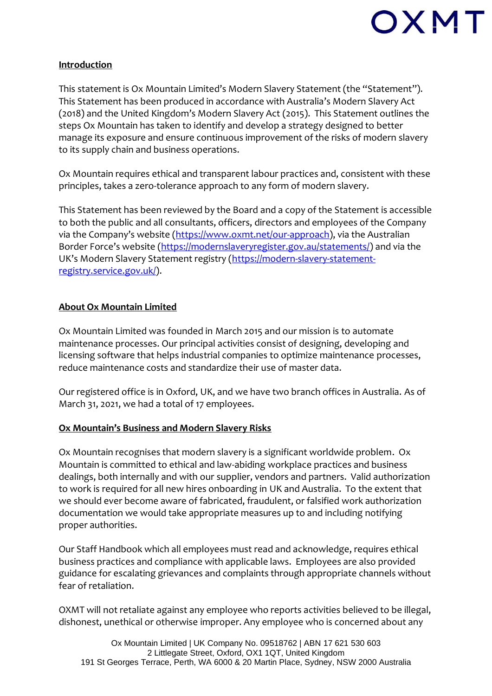

### **Introduction**

This statement is Ox Mountain Limited's Modern Slavery Statement (the "Statement"). This Statement has been produced in accordance with Australia's Modern Slavery Act (2018) and the United Kingdom's Modern Slavery Act (2015). This Statement outlines the steps Ox Mountain has taken to identify and develop a strategy designed to better manage its exposure and ensure continuous improvement of the risks of modern slavery to its supply chain and business operations.

Ox Mountain requires ethical and transparent labour practices and, consistent with these principles, takes a zero-tolerance approach to any form of modern slavery.

This Statement has been reviewed by the Board and a copy of the Statement is accessible to both the public and all consultants, officers, directors and employees of the Company via the Company's website ([https://www.oxmt.net/our-approach\)](https://www.oxmt.net/our-approach), via the Australian Border Force's website ([https://modernslaveryregister.gov.au/statements/\)](https://modernslaveryregister.gov.au/statements/) and via the UK's Modern Slavery Statement registry ([https://modern-slavery-statement](https://modern-slavery-statement-registry.service.gov.uk/)[registry.service.gov.uk/\)](https://modern-slavery-statement-registry.service.gov.uk/).

### **About Ox Mountain Limited**

Ox Mountain Limited was founded in March 2015 and our mission is to automate maintenance processes. Our principal activities consist of designing, developing and licensing software that helps industrial companies to optimize maintenance processes, reduce maintenance costs and standardize their use of master data.

Our registered office is in Oxford, UK, and we have two branch offices in Australia. As of March 31, 2021, we had a total of 17 employees.

### **Ox Mountain's Business and Modern Slavery Risks**

Ox Mountain recognises that modern slavery is a significant worldwide problem. Ox Mountain is committed to ethical and law-abiding workplace practices and business dealings, both internally and with our supplier, vendors and partners. Valid authorization to work is required for all new hires onboarding in UK and Australia. To the extent that we should ever become aware of fabricated, fraudulent, or falsified work authorization documentation we would take appropriate measures up to and including notifying proper authorities.

Our Staff Handbook which all employees must read and acknowledge, requires ethical business practices and compliance with applicable laws. Employees are also provided guidance for escalating grievances and complaints through appropriate channels without fear of retaliation.

OXMT will not retaliate against any employee who reports activities believed to be illegal, dishonest, unethical or otherwise improper. Any employee who is concerned about any